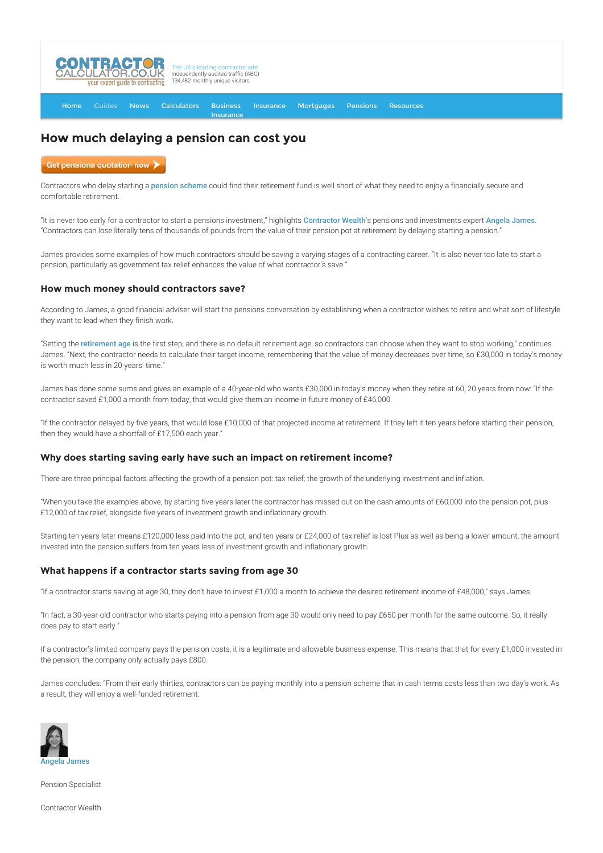

[Home](http://www.contractorcalculator.co.uk/) [Guides](http://www.contractorcalculator.co.uk/Articles.aspx) [News](http://www.contractorcalculator.co.uk/Contractor_News.aspx) [Calculators](http://www.contractorcalculator.co.uk/Calculators.aspx) Business **[Insurance](http://www.contractorcalculator.co.uk/Contractor_Insurances.aspx)** [Insurance](http://www.contractorcalculator.co.uk/Insurance.aspx) [Mortgages](http://www.contractorcalculator.co.uk/Contractor_Mortgages.aspx) [Pensions](http://www.contractorcalculator.co.uk/Contractor_Pensions.aspx) [Resources](http://www.contractorcalculator.co.uk/Contractor_Resources.aspx)

# **How much delaying a pension can cost you**

Get pensions quotation now

Contractors who delay starting a [pension scheme](http://www.contractorcalculator.co.uk/pensions_contractors_overview.aspx) could find their retirement fund is well short of what they need to enjoy a financially secure and comfortable retirement.

"It is never too early for a contractor to start a pensions investment," highlights [Contractor Wealth](http://www.contractor-wealth.com/)'s pensions and investments expert [Angela James](http://www.contractorcalculator.co.uk/ec_angela_james.aspx). "Contractors can lose literally tens of thousands of pounds from the value of their pension pot at retirement by delaying starting a pension."

James provides some examples of how much contractors should be saving a varying stages of a contracting career. "It is also never too late to start a pension, particularly as government tax relief enhances the value of what contractor's save."

## **How much money should contractors save?**

According to James, a good financial adviser will start the pensions conversation by establishing when a contractor wishes to retire and what sort of lifestyle they want to lead when they finish work.

"Setting the [retirement age](https://www.gov.uk/retirement-age) is the first step, and there is no default retirement age, so contractors can choose when they want to stop working," continues James. "Next, the contractor needs to calculate their target income, remembering that the value of money decreases over time, so £30,000 in today's money is worth much less in 20 years' time."

James has done some sums and gives an example of a 40-year-old who wants £30,000 in today's money when they retire at 60, 20 years from now: "If the contractor saved £1,000 a month from today, that would give them an income in future money of £46,000.

"If the contractor delayed by five years, that would lose £10,000 of that projected income at retirement. If they left it ten years before starting their pension, then they would have a shortfall of £17,500 each year."

## **Why does starting saving early have such an impact on retirement income?**

There are three principal factors affecting the growth of a pension pot: tax relief; the growth of the underlying investment and inflation.

"When you take the examples above, by starting five years later the contractor has missed out on the cash amounts of £60,000 into the pension pot, plus £12,000 of tax relief, alongside five years of investment growth and inflationary growth.

Starting ten years later means £120,000 less paid into the pot, and ten years or £24,000 of tax relief is lost Plus as well as being a lower amount, the amount invested into the pension suffers from ten years less of investment growth and inflationary growth.

## **What happens if a contractor starts saving from age 30**

"If a contractor starts saving at age 30, they don't have to invest £1,000 a month to achieve the desired retirement income of £48,000," says James.

"In fact, a 30-year-old contractor who starts paying into a pension from age 30 would only need to pay £650 per month for the same outcome. So, it really does pay to start early."

If a contractor's limited company pays the pension costs, it is a legitimate and allowable business expense. This means that that for every £1,000 invested in the pension, the company only actually pays £800.

James concludes: "From their early thirties, contractors can be paying monthly into a pension scheme that in cash terms costs less than two day's work. As a result, they will enjoy a well-funded retirement.



Pension Specialist

Contractor Wealth